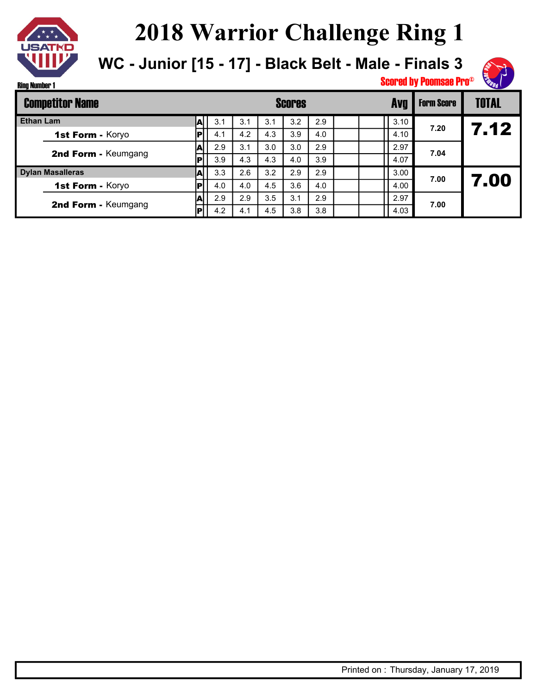

**WC - Junior [15 - 17] - Black Belt - Male - Finals 3**



| <b>Competitor Name</b> |                         |  |     |     |     | <b>Scores</b> | <b>Form Score</b> | <b>TOTAL</b> |      |      |      |
|------------------------|-------------------------|--|-----|-----|-----|---------------|-------------------|--------------|------|------|------|
| <b>Ethan Lam</b>       |                         |  | 3.1 | 3.1 | 3.1 | 3.2           | 2.9               |              | 3.10 | 7.20 |      |
|                        | 1st Form - Koryo        |  | 4.1 | 4.2 | 4.3 | 3.9           | 4.0               |              | 4.10 |      | 7.12 |
|                        | 2nd Form - Keumgang     |  | 2.9 | 3.1 | 3.0 | 3.0           | 2.9               |              | 2.97 | 7.04 |      |
|                        |                         |  | 3.9 | 4.3 | 4.3 | 4.0           | 3.9               |              | 4.07 |      |      |
|                        | <b>Dylan Masalleras</b> |  | 3.3 | 2.6 | 3.2 | 2.9           | 2.9               |              | 3.00 | 7.00 |      |
|                        | 1st Form - Koryo        |  | 4.0 | 4.0 | 4.5 | 3.6           | 4.0               |              | 4.00 |      | 7.00 |
|                        | 2nd Form - Keumgang     |  | 2.9 | 2.9 | 3.5 | 3.1           | 2.9               |              | 2.97 | 7.00 |      |
|                        |                         |  | 4.2 | 4.1 | 4.5 | 3.8           | 3.8               |              | 4.03 |      |      |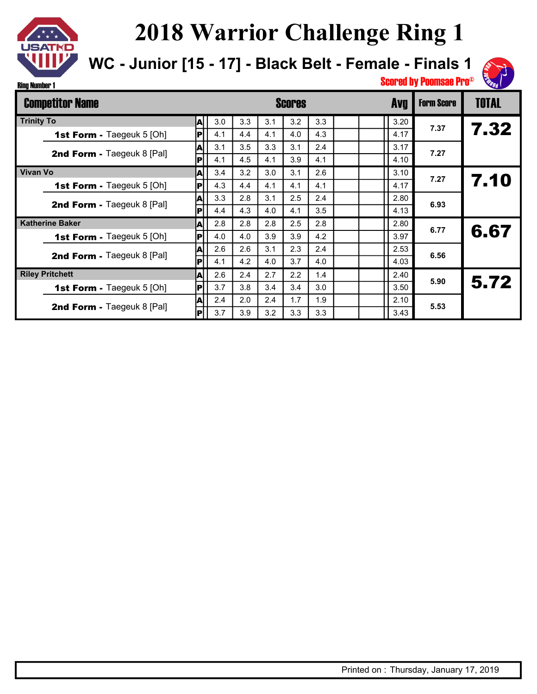

**WC - Junior [15 - 17] - Black Belt - Female - Finals 1**



|                 | <b>Competitor Name</b>            |     |     |     |     | <b>Scores</b> |     | <b>Avg</b> | <b>Form Score</b> | <b>TOTAL</b> |      |
|-----------------|-----------------------------------|-----|-----|-----|-----|---------------|-----|------------|-------------------|--------------|------|
|                 | <b>Trinity To</b><br> A           |     | 3.0 | 3.3 | 3.1 | 3.2           | 3.3 |            | 3.20              |              |      |
|                 | <b>1st Form - Taegeuk 5 [Oh]</b>  | IРİ | 4.1 | 4.4 | 4.1 | 4.0           | 4.3 |            | 4.17              | 7.37         | 7.32 |
|                 | <b>2nd Form - Taegeuk 8 [Pal]</b> | A   | 3.1 | 3.5 | 3.3 | 3.1           | 2.4 |            | 3.17              | 7.27         |      |
|                 |                                   | P   | 4.1 | 4.5 | 4.1 | 3.9           | 4.1 |            | 4.10              |              |      |
| <b>Vivan Vo</b> |                                   | A   | 3.4 | 3.2 | 3.0 | 3.1           | 2.6 |            | 3.10              | 7.27         |      |
|                 | <b>1st Form - Taegeuk 5 [Oh]</b>  | ļР  | 4.3 | 4.4 | 4.1 | 4.1           | 4.1 |            | 4.17              |              | 7.10 |
|                 | <b>2nd Form - Taegeuk 8 [Pal]</b> | A   | 3.3 | 2.8 | 3.1 | 2.5           | 2.4 |            | 2.80              | 6.93         |      |
|                 |                                   | P   | 4.4 | 4.3 | 4.0 | 4.1           | 3.5 |            | 4.13              |              |      |
|                 | <b>Katherine Baker</b>            | ΙA  | 2.8 | 2.8 | 2.8 | 2.5           | 2.8 |            | 2.80              | 6.77         |      |
|                 | <b>1st Form - Taegeuk 5 [Oh]</b>  | P   | 4.0 | 4.0 | 3.9 | 3.9           | 4.2 |            | 3.97              |              | 6.67 |
|                 | <b>2nd Form - Taegeuk 8 [Pal]</b> | ΙAΙ | 2.6 | 2.6 | 3.1 | 2.3           | 2.4 |            | 2.53              | 6.56         |      |
|                 |                                   | lPl | 4.1 | 4.2 | 4.0 | 3.7           | 4.0 |            | 4.03              |              |      |
|                 | <b>Riley Pritchett</b>            | A   | 2.6 | 2.4 | 2.7 | 2.2           | 1.4 |            | 2.40              | 5.90         |      |
|                 | 1st Form - Taegeuk 5 [Oh]         | P   | 3.7 | 3.8 | 3.4 | 3.4           | 3.0 |            | 3.50              |              | 5.72 |
|                 | <b>2nd Form - Taegeuk 8 [Pal]</b> | A   | 2.4 | 2.0 | 2.4 | 1.7           | 1.9 |            | 2.10              | 5.53         |      |
|                 |                                   | P   | 3.7 | 3.9 | 3.2 | 3.3           | 3.3 |            | 3.43              |              |      |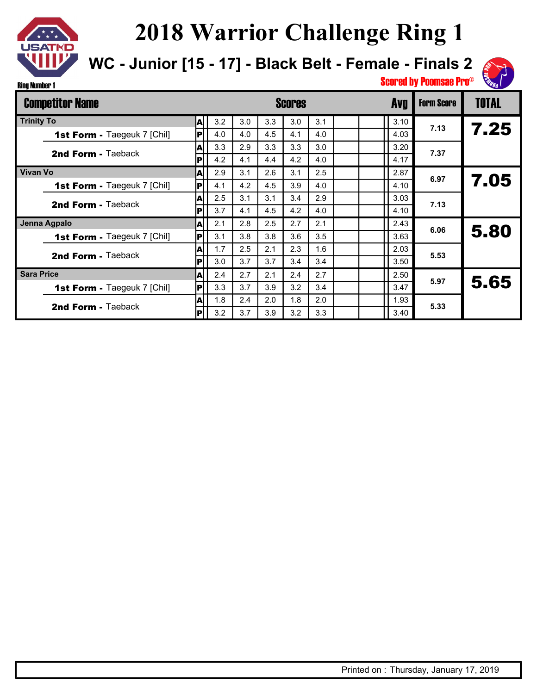

**WC - Junior [15 - 17] - Black Belt - Female - Finals 2**



Ring Number 1

|                   | <b>Competitor Name</b>             |     |     |     |     | <b>Scores</b> |     |  | <b>Avg</b> | <b>Form Score</b> | <b>TOTAL</b> |
|-------------------|------------------------------------|-----|-----|-----|-----|---------------|-----|--|------------|-------------------|--------------|
| <b>Trinity To</b> |                                    | Al  | 3.2 | 3.0 | 3.3 | 3.0           | 3.1 |  | 3.10       | 7.13              |              |
|                   | <b>1st Form - Taegeuk 7 [Chil]</b> | IP  | 4.0 | 4.0 | 4.5 | 4.1           | 4.0 |  | 4.03       |                   | 7.25         |
|                   | <b>2nd Form - Taeback</b>          | W   | 3.3 | 2.9 | 3.3 | 3.3           | 3.0 |  | 3.20       | 7.37              |              |
|                   |                                    | IPI | 4.2 | 4.1 | 4.4 | 4.2           | 4.0 |  | 4.17       |                   |              |
| <b>Vivan Vo</b>   |                                    | ΙAΙ | 2.9 | 3.1 | 2.6 | 3.1           | 2.5 |  | 2.87       | 6.97              | 7.05         |
|                   | <b>1st Form - Taegeuk 7 [Chil]</b> | IР  | 4.1 | 4.2 | 4.5 | 3.9           | 4.0 |  | 4.10       |                   |              |
|                   | <b>2nd Form - Taeback</b>          | A   | 2.5 | 3.1 | 3.1 | 3.4           | 2.9 |  | 3.03       | 7.13              |              |
|                   |                                    | P   | 3.7 | 4.1 | 4.5 | 4.2           | 4.0 |  | 4.10       |                   |              |
| Jenna Agpalo      |                                    | ΙAΙ | 2.1 | 2.8 | 2.5 | 2.7           | 2.1 |  | 2.43       | 6.06              | 5.80         |
|                   | <b>1st Form - Taegeuk 7 [Chil]</b> | IP  | 3.1 | 3.8 | 3.8 | 3.6           | 3.5 |  | 3.63       |                   |              |
|                   | <b>2nd Form - Taeback</b>          | ΙAΙ | 1.7 | 2.5 | 2.1 | 2.3           | 1.6 |  | 2.03       | 5.53              |              |
|                   |                                    | IР  | 3.0 | 3.7 | 3.7 | 3.4           | 3.4 |  | 3.50       |                   |              |
| <b>Sara Price</b> |                                    | ΙAΙ | 2.4 | 2.7 | 2.1 | 2.4           | 2.7 |  | 2.50       | 5.97              |              |
|                   | <b>1st Form - Taegeuk 7 [Chil]</b> | IРI | 3.3 | 3.7 | 3.9 | 3.2           | 3.4 |  | 3.47       |                   | 5.65         |
|                   | <b>2nd Form - Taeback</b>          | IА  | 1.8 | 2.4 | 2.0 | 1.8           | 2.0 |  | 1.93       | 5.33              |              |
|                   |                                    | P   | 3.2 | 3.7 | 3.9 | 3.2           | 3.3 |  | 3.40       |                   |              |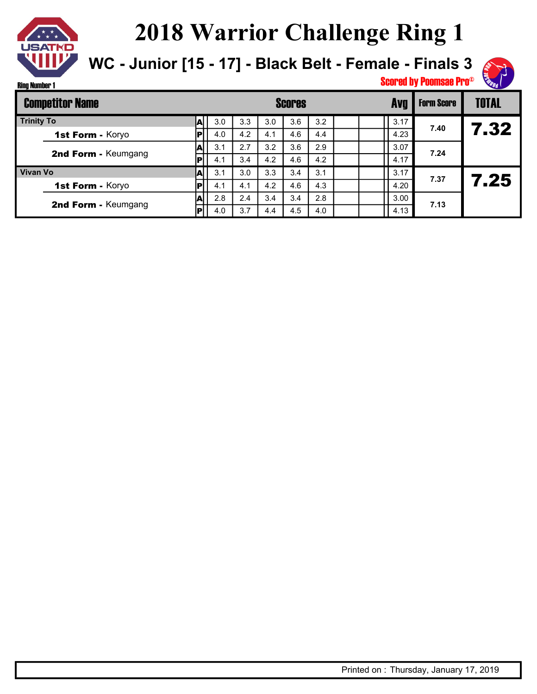

**WC - Junior [15 - 17] - Black Belt - Female - Finals 3**



Ring Number 1

|                   | <b>Competitor Name</b> |    |     |     | <b>Scores</b> | Avg | <b>Form Score</b> | <b>TOTAL</b> |      |      |      |
|-------------------|------------------------|----|-----|-----|---------------|-----|-------------------|--------------|------|------|------|
| <b>Trinity To</b> |                        |    | 3.0 | 3.3 | 3.0           | 3.6 | 3.2               |              | 3.17 |      |      |
|                   | 1st Form - Koryo       |    | 4.0 | 4.2 | 4.1           | 4.6 | 4.4               |              | 4.23 | 7.40 | 7.32 |
|                   | 2nd Form - Keumgang    | IА | 3.1 | 2.7 | 3.2           | 3.6 | 2.9               |              | 3.07 | 7.24 |      |
|                   |                        | P  | 4.1 | 3.4 | 4.2           | 4.6 | 4.2               |              | 4.17 |      |      |
| <b>Vivan Vo</b>   |                        | A  | 3.1 | 3.0 | 3.3           | 3.4 | 3.1               |              | 3.17 | 7.37 |      |
|                   | 1st Form - Koryo       |    | 4.1 | 4.1 | 4.2           | 4.6 | 4.3               |              | 4.20 |      | 7.25 |
|                   | 2nd Form - Keumgang    | A  | 2.8 | 2.4 | 3.4           | 3.4 | 2.8               |              | 3.00 |      |      |
|                   |                        | IР | 4.0 | 3.7 | 4.4           | 4.5 | 4.0               |              | 4.13 | 7.13 |      |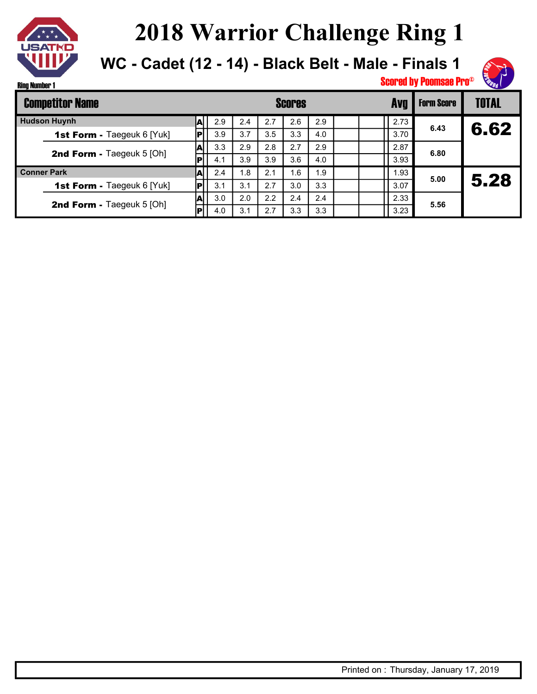

**WC - Cadet (12 - 14) - Black Belt - Male - Finals 1**



| <b>Competitor Name</b> |                                   |    |     |     | <b>Scores</b> | <b>Form Score</b> | <b>TOTAL</b> |  |      |      |      |
|------------------------|-----------------------------------|----|-----|-----|---------------|-------------------|--------------|--|------|------|------|
| <b>Hudson Huynh</b>    |                                   | Лı | 2.9 | 2.4 | 2.7           | 2.6               | 2.9          |  | 2.73 | 6.43 |      |
|                        | <b>1st Form - Taegeuk 6 [Yuk]</b> |    | 3.9 | 3.7 | 3.5           | 3.3               | 4.0          |  | 3.70 |      | 6.62 |
|                        |                                   |    | 3.3 | 2.9 | 2.8           | 2.7               | 2.9          |  | 2.87 | 6.80 |      |
|                        | 2nd Form - Taegeuk 5 [Oh]         |    | 4.1 | 3.9 | 3.9           | 3.6               | 4.0          |  | 3.93 |      |      |
| <b>Conner Park</b>     |                                   | A  | 2.4 | 1.8 | 2.1           | 1.6               | 1.9          |  | 1.93 | 5.00 |      |
|                        | <b>1st Form - Taegeuk 6 [Yuk]</b> |    | 3.1 | 3.1 | 2.7           | 3.0               | 3.3          |  | 3.07 |      | 5.28 |
|                        | <b>2nd Form - Taegeuk 5 [Oh]</b>  |    | 3.0 | 2.0 | 2.2           | 2.4               | 2.4          |  | 2.33 | 5.56 |      |
|                        |                                   |    | 4.0 | 3.1 | 2.7           | 3.3               | 3.3          |  | 3.23 |      |      |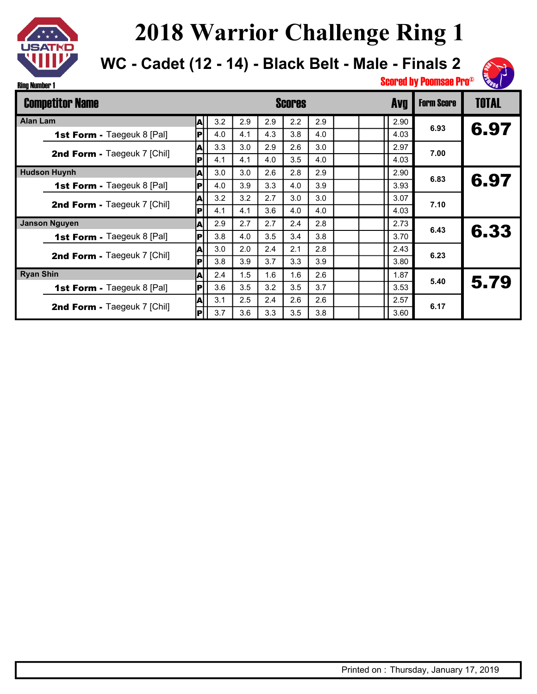

**WC - Cadet (12 - 14) - Black Belt - Male - Finals 2**



| <b>Competitor Name</b>            |                          |     |     | <b>Scores</b> |                  | <b>Avg</b> | <b>Form Score</b> | <b>TOTAL</b> |      |      |
|-----------------------------------|--------------------------|-----|-----|---------------|------------------|------------|-------------------|--------------|------|------|
| <b>Alan Lam</b><br> A             |                          | 3.2 | 2.9 | 2.9           | $2.2\phantom{0}$ | 2.9        |                   | 2.90         |      |      |
| <b>1st Form - Taegeuk 8 [Pal]</b> | $\vert \mathsf{P} \vert$ | 4.0 | 4.1 | 4.3           | 3.8              | 4.0        |                   | 4.03         | 6.93 | 6.97 |
| 2nd Form - Taegeuk 7 [Chil]       | A                        | 3.3 | 3.0 | 2.9           | 2.6              | 3.0        |                   | 2.97         | 7.00 |      |
|                                   | P                        | 4.1 | 4.1 | 4.0           | 3.5              | 4.0        |                   | 4.03         |      |      |
| <b>Hudson Huynh</b><br>ΙA         |                          | 3.0 | 3.0 | 2.6           | 2.8              | 2.9        |                   | 2.90         | 6.83 | 6.97 |
| <b>1st Form - Taegeuk 8 [Pal]</b> | ΙPΙ                      | 4.0 | 3.9 | 3.3           | 4.0              | 3.9        |                   | 3.93         |      |      |
| 2nd Form - Taegeuk 7 [Chil]       | A                        | 3.2 | 3.2 | 2.7           | 3.0              | 3.0        |                   | 3.07         | 7.10 |      |
|                                   | lPl                      | 4.1 | 4.1 | 3.6           | 4.0              | 4.0        |                   | 4.03         |      |      |
| <b>Janson Nguyen</b>              | A                        | 2.9 | 2.7 | 2.7           | 2.4              | 2.8        |                   | 2.73         | 6.43 |      |
| 1st Form - Taegeuk 8 [Pal]        | P                        | 3.8 | 4.0 | 3.5           | 3.4              | 3.8        |                   | 3.70         |      | 6.33 |
| 2nd Form - Taegeuk 7 [Chil]       | A                        | 3.0 | 2.0 | 2.4           | 2.1              | 2.8        |                   | 2.43         | 6.23 |      |
|                                   | IРİ                      | 3.8 | 3.9 | 3.7           | 3.3              | 3.9        |                   | 3.80         |      |      |
| <b>Ryan Shin</b>                  | A                        | 2.4 | 1.5 | 1.6           | 1.6              | 2.6        |                   | 1.87         | 5.40 | 5.79 |
| <b>1st Form - Taegeuk 8 [Pal]</b> | lPl                      | 3.6 | 3.5 | 3.2           | 3.5              | 3.7        |                   | 3.53         |      |      |
| 2nd Form - Taegeuk 7 [Chil]       | A                        | 3.1 | 2.5 | 2.4           | 2.6              | 2.6        |                   | 2.57         | 6.17 |      |
|                                   | P                        | 3.7 | 3.6 | 3.3           | 3.5              | 3.8        |                   | 3.60         |      |      |